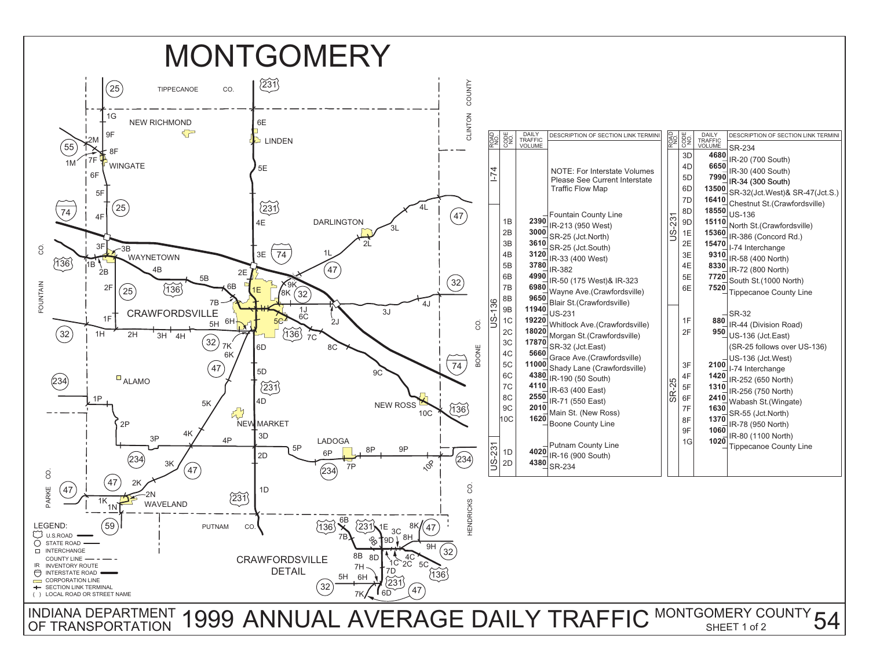